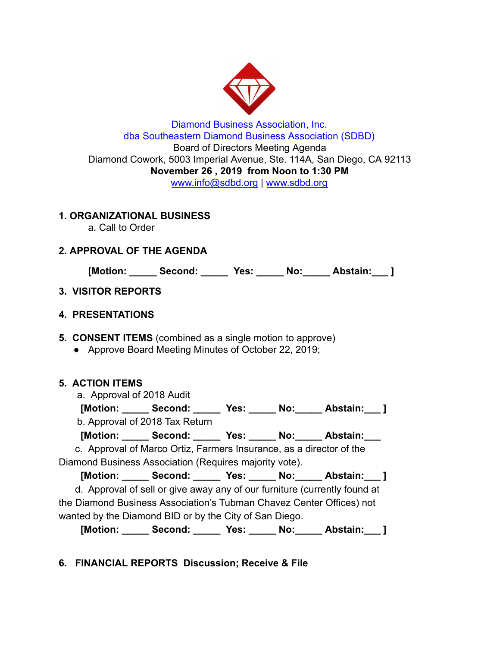

### Diamond Business Association, Inc. dba Southeastern Diamond Business Association (SDBD) Board of Directors Meeting Agenda Diamond Cowork, 5003 Imperial Avenue, Ste. 114A, San Diego, CA 92113 **November 26 , 2019 from Noon to 1:30 PM**  www.info@sdbd.org | [www.sdbd.org](http://www.sdbd.org/)

### **1. ORGANIZATIONAL BUSINESS**

a. Call to Order

## **2. APPROVAL OF THE AGENDA**

**[Motion: \_\_\_\_\_ Second: \_\_\_\_\_ Yes: \_\_\_\_\_ No:\_\_\_\_\_ Abstain:\_\_\_ ]** 

## **3. VISITOR REPORTS**

### **4. PRESENTATIONS**

**5. CONSENT ITEMS** (combined as a single motion to approve)

● Approve Board Meeting Minutes of October 22, 2019;

## **5. ACTION ITEMS**

a. Approval of 2018 Audit

 **[Motion: \_\_\_\_\_ Second: \_\_\_\_\_ Yes: \_\_\_\_\_ No:\_\_\_\_\_ Abstain:\_\_\_ ]**  b. Approval of 2018 Tax Return

 **[Motion: \_\_\_\_\_ Second: \_\_\_\_\_ Yes: \_\_\_\_\_ No:\_\_\_\_\_ Abstain:\_\_\_** 

 c. Approval of Marco Ortiz, Farmers Insurance, as a director of the Diamond Business Association (Requires majority vote).

 **[Motion: \_\_\_\_\_ Second: \_\_\_\_\_ Yes: \_\_\_\_\_ No:\_\_\_\_\_ Abstain:\_\_\_ ]** 

 d. Approval of sell or give away any of our furniture (currently found at the Diamond Business Association's Tubman Chavez Center Offices) not wanted by the Diamond BID or by the City of San Diego.

 **[Motion: \_\_\_\_\_ Second: \_\_\_\_\_ Yes: \_\_\_\_\_ No:\_\_\_\_\_ Abstain:\_\_\_ ]** 

# **6. FINANCIAL REPORTS Discussion; Receive & File**